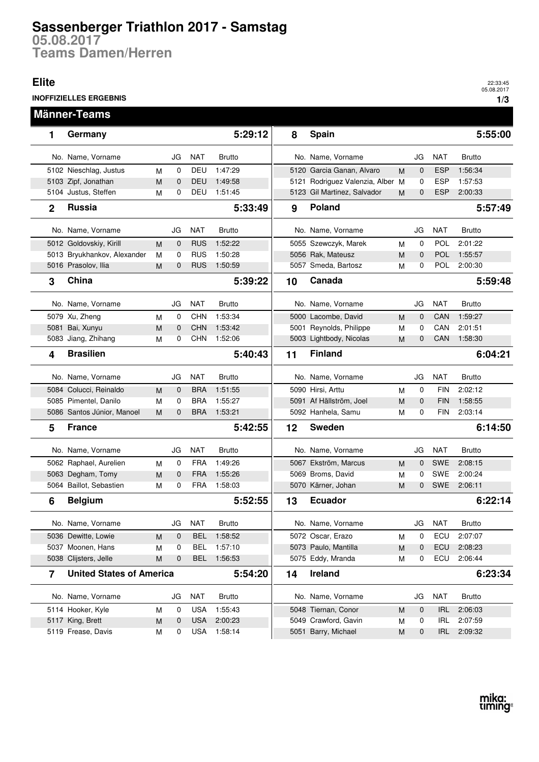## **Sassenberger Triathlon 2017 - Samstag**

**Teams Damen/Herren 05.08.2017**

### **Elite**

**INOFFIZIELLES ERGEBNIS**

**1/3** 22:33:45 05.08.2017

|                | <b>Männer-Teams</b>             |   |              |            |               |    |                                  |   |                  |            |               |
|----------------|---------------------------------|---|--------------|------------|---------------|----|----------------------------------|---|------------------|------------|---------------|
| 1              | Germany                         |   |              |            | 5:29:12       | 8  | Spain                            |   |                  |            | 5:55:00       |
|                | No. Name, Vorname               |   | JG           | <b>NAT</b> | <b>Brutto</b> |    | No. Name, Vorname                |   | JG               | <b>NAT</b> | <b>Brutto</b> |
|                | 5102 Nieschlag, Justus          | М | 0            | <b>DEU</b> | 1:47:29       |    | 5120 Garcia Ganan, Alvaro        | M | $\mathbf 0$      | <b>ESP</b> | 1:56:34       |
|                | 5103 Zipf, Jonathan             | M | $\mathbf{0}$ | <b>DEU</b> | 1:49:58       |    | 5121 Rodriguez Valenzia, Alber M |   | 0                | <b>ESP</b> | 1:57:53       |
|                | 5104 Justus, Steffen            | М | 0            | DEU        | 1:51:45       |    | 5123 Gil Martinez, Salvador      | M | 0                | <b>ESP</b> | 2:00:33       |
| $\mathbf{2}$   | <b>Russia</b>                   |   |              |            | 5:33:49       | 9  | Poland                           |   |                  |            | 5:57:49       |
|                | No. Name, Vorname               |   | JG           | <b>NAT</b> | <b>Brutto</b> |    | No. Name, Vorname                |   | JG               | <b>NAT</b> | <b>Brutto</b> |
|                | 5012 Goldovskiy, Kirill         | M | $\mathbf{0}$ | <b>RUS</b> | 1:52:22       |    | 5055 Szewczyk, Marek             | M | $\mathbf 0$      | <b>POL</b> | 2:01:22       |
|                | 5013 Bryukhankov, Alexander     | M | 0            | <b>RUS</b> | 1:50:28       |    | 5056 Rak, Mateusz                | M | 0                | <b>POL</b> | 1:55:57       |
|                | 5016 Prasolov, Ilia             | M | 0            | <b>RUS</b> | 1:50:59       |    | 5057 Smeda, Bartosz              | M | 0                | POL        | 2:00:30       |
| 3              | China                           |   |              |            | 5:39:22       | 10 | Canada                           |   |                  |            | 5:59:48       |
|                | No. Name, Vorname               |   | JG           | <b>NAT</b> | <b>Brutto</b> |    | No. Name, Vorname                |   | JG               | <b>NAT</b> | <b>Brutto</b> |
|                | 5079 Xu, Zheng                  | M | 0            | <b>CHN</b> | 1:53:34       |    | 5000 Lacombe, David              | M | $\mathbf 0$      | CAN        | 1:59:27       |
|                | 5081 Bai, Xunyu                 | M | $\mathbf{0}$ | <b>CHN</b> | 1:53:42       |    | 5001 Reynolds, Philippe          | M | 0                | CAN        | 2:01:51       |
|                | 5083 Jiang, Zhihang             | м | 0            | <b>CHN</b> | 1:52:06       |    | 5003 Lightbody, Nicolas          | M | 0                | CAN        | 1:58:30       |
| 4              | <b>Brasilien</b>                |   |              |            | 5:40:43       | 11 | <b>Finland</b>                   |   |                  |            | 6:04:21       |
|                | No. Name, Vorname               |   | JG           | <b>NAT</b> | <b>Brutto</b> |    | No. Name, Vorname                |   | JG               | <b>NAT</b> | <b>Brutto</b> |
|                | 5084 Colucci, Reinaldo          | M | $\mathbf{0}$ | <b>BRA</b> | 1:51:55       |    | 5090 Hirsi, Arttu                | M | $\mathbf 0$      | <b>FIN</b> | 2:02:12       |
|                | 5085 Pimentel, Danilo           | M | 0            | <b>BRA</b> | 1:55:27       |    | 5091 Af Hällström, Joel          | M | $\mathbf 0$      | <b>FIN</b> | 1:58:55       |
|                | 5086 Santos Júnior, Manoel      | M | 0            | <b>BRA</b> | 1:53:21       |    | 5092 Hanhela, Samu               | M | 0                | FIN        | 2:03:14       |
| 5              | <b>France</b>                   |   |              |            | 5:42:55       | 12 | <b>Sweden</b>                    |   |                  |            | 6:14:50       |
|                | No. Name, Vorname               |   | JG           | <b>NAT</b> | <b>Brutto</b> |    | No. Name, Vorname                |   | JG               | <b>NAT</b> | <b>Brutto</b> |
|                | 5062 Raphael, Aurelien          | М | 0            | <b>FRA</b> | 1:49:26       |    | 5067 Ekström, Marcus             | M | $\mathbf 0$      | <b>SWE</b> | 2:08:15       |
|                | 5063 Degham, Tomy               | M | $\mathbf{0}$ | <b>FRA</b> | 1:55:26       |    | 5069 Broms, David                | M | 0                | <b>SWE</b> | 2:00:24       |
|                | 5064 Baillot, Sebastien         | М | 0            | <b>FRA</b> | 1:58:03       |    | 5070 Kärner, Johan               | M | 0                | <b>SWE</b> | 2:06:11       |
| 6              | <b>Belgium</b>                  |   |              |            | 5:52:55       | 13 | <b>Ecuador</b>                   |   |                  |            | 6:22:14       |
|                | No. Name, Vorname               |   | JG           | <b>NAT</b> | Brutto        |    | No. Name, Vorname                |   | JG               | <b>NAT</b> | <b>Brutto</b> |
|                | 5036 Dewitte, Lowie             | M | $\mathbf 0$  | <b>BEL</b> | 1:58:52       |    | 5072 Oscar, Erazo                | М | 0                | ECU        | 2:07:07       |
|                | 5037 Moonen, Hans               | M | 0            | <b>BEL</b> | 1:57:10       |    | 5073 Paulo, Mantilla             | M | 0                | ECU        | 2:08:23       |
|                | 5038 Clijsters, Jelle           | M | 0            | <b>BEL</b> | 1:56:53       |    | 5075 Eddy, Mranda                | М | 0                | ECU        | 2:06:44       |
| $\overline{7}$ | <b>United States of America</b> |   |              |            | 5:54:20       | 14 | Ireland                          |   |                  |            | 6:23:34       |
|                | No. Name, Vorname               |   | JG           | <b>NAT</b> | <b>Brutto</b> |    | No. Name, Vorname                |   | JG               | <b>NAT</b> | <b>Brutto</b> |
|                | 5114 Hooker, Kyle               | М | 0            | <b>USA</b> | 1:55:43       |    | 5048 Tiernan, Conor              | M | $\boldsymbol{0}$ | <b>IRL</b> | 2:06:03       |
|                | 5117 King, Brett                | M | 0            | <b>USA</b> | 2:00:23       |    | 5049 Crawford, Gavin             | М | 0                | <b>IRL</b> | 2:07:59       |
|                | 5119 Frease, Davis              | М | 0            | <b>USA</b> | 1:58:14       |    | 5051 Barry, Michael              | M | 0                | <b>IRL</b> | 2:09:32       |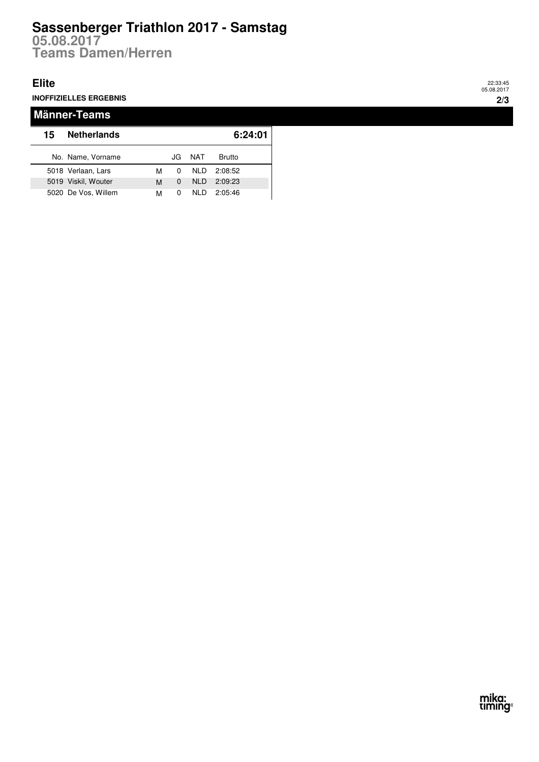# **Sassenberger Triathlon 2017 - Samstag**

**Teams Damen/Herren 05.08.2017**

#### **Elite**

**INOFFIZIELLES ERGEBNIS**

#### **Männer-Teams 15** No. Name, Vorname **JG** NAT **Netherlands 6:24:01** Brutto 5018 Verlaan, Lars M M 0 NLD 2:08:52 5019 0 Viskil, Wouter NLD 2:09:23 M 5020 0 De Vos, Willem NLD 2:05:46 M

22:33:45 05.08.2017

**2/3**